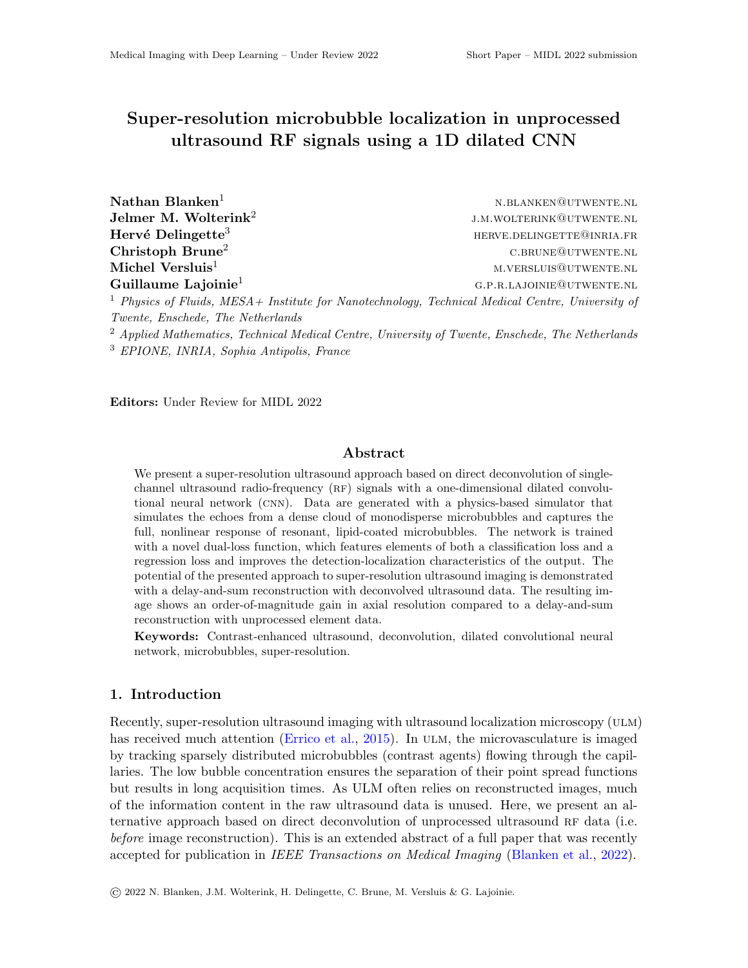# Super-resolution microbubble localization in unprocessed ultrasound RF signals using a 1D dilated CNN

| $\mathbf{N}$ athan Blanken $^1$                                                                              | N.BLANKEN@UTWENTE.NL      |
|--------------------------------------------------------------------------------------------------------------|---------------------------|
| Jelmer M. Wolterink <sup>2</sup>                                                                             | J.M.WOLTERINK@UTWENTE.NL  |
| $\rm{Herv\'e}$ Delingette $^3$                                                                               | HERVE.DELINGETTE@INRIA.FR |
| $\text{Christoph Brune}^2$                                                                                   | C.BRUNE@UTWENTE.NL        |
| Michel Versluis $^1\,$                                                                                       | M.VERSLUIS@UTWENTE.NL     |
| Guillaume Lajoinie <sup>1</sup>                                                                              | G.P.R.LAJOINIE@UTWENTE.NL |
| <sup>1</sup> Physics of Fluids, MESA + Institute for Nanotechnology, Technical Medical Centre, University of |                           |

Twente, Enschede, The Netherlands

<sup>2</sup> Applied Mathematics, Technical Medical Centre, University of Twente, Enschede, The Netherlands <sup>3</sup> EPIONE, INRIA, Sophia Antipolis, France

Editors: Under Review for MIDL 2022

# Abstract

We present a super-resolution ultrasound approach based on direct deconvolution of singlechannel ultrasound radio-frequency (RF) signals with a one-dimensional dilated convolutional neural network (cnn). Data are generated with a physics-based simulator that simulates the echoes from a dense cloud of monodisperse microbubbles and captures the full, nonlinear response of resonant, lipid-coated microbubbles. The network is trained with a novel dual-loss function, which features elements of both a classification loss and a regression loss and improves the detection-localization characteristics of the output. The potential of the presented approach to super-resolution ultrasound imaging is demonstrated with a delay-and-sum reconstruction with deconvolved ultrasound data. The resulting image shows an order-of-magnitude gain in axial resolution compared to a delay-and-sum reconstruction with unprocessed element data.

Keywords: Contrast-enhanced ultrasound, deconvolution, dilated convolutional neural network, microbubbles, super-resolution.

#### 1. Introduction

Recently, super-resolution ultrasound imaging with ultrasound localization microscopy (ULM) has received much attention [\(Errico et al.,](#page-2-0) [2015\)](#page-2-0). In ULM, the microvasculature is imaged by tracking sparsely distributed microbubbles (contrast agents) flowing through the capillaries. The low bubble concentration ensures the separation of their point spread functions but results in long acquisition times. As ULM often relies on reconstructed images, much of the information content in the raw ultrasound data is unused. Here, we present an alternative approach based on direct deconvolution of unprocessed ultrasound RF data (i.e. before image reconstruction). This is an extended abstract of a full paper that was recently accepted for publication in IEEE Transactions on Medical Imaging [\(Blanken et al.,](#page-2-1) [2022\)](#page-2-1).